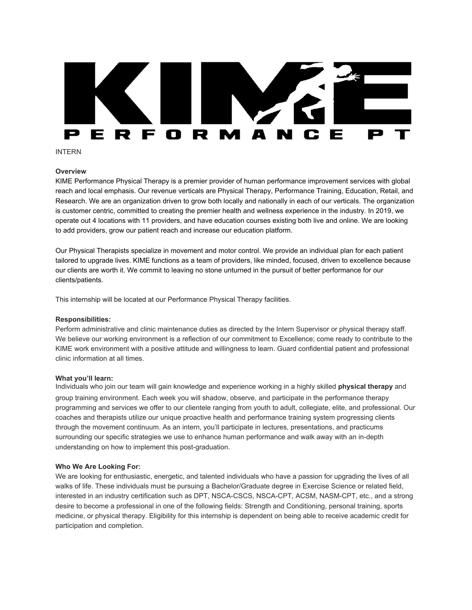# **RFORM** A N

INTERN

# **Overview**

KIME Performance Physical Therapy is a premier provider of human performance improvement services with global reach and local emphasis. Our revenue verticals are Physical Therapy, Performance Training, Education, Retail, and Research. We are an organization driven to grow both locally and nationally in each of our verticals. The organization is customer centric, committed to creating the premier health and wellness experience in the industry. In 2019, we operate out 4 locations with 11 providers, and have education courses existing both live and online. We are looking to add providers, grow our patient reach and increase our education platform.

Our Physical Therapists specialize in movement and motor control. We provide an individual plan for each patient tailored to upgrade lives. KIME functions as a team of providers, like minded, focused, driven to excellence because our clients are worth it. We commit to leaving no stone unturned in the pursuit of better performance for our clients/patients.

This internship will be located at our Performance Physical Therapy facilities.

## **Responsibilities:**

Perform administrative and clinic maintenance duties as directed by the Intern Supervisor or physical therapy staff. We believe our working environment is a reflection of our commitment to Excellence; come ready to contribute to the KIME work environment with a positive attitude and willingness to learn. Guard confidential patient and professional clinic information at all times.

#### **What you'll learn:**

Individuals who join our team will gain knowledge and experience working in a highly skilled **physical therapy** and group training environment. Each week you will shadow, observe, and participate in the performance therapy programming and services we offer to our clientele ranging from youth to adult, collegiate, elite, and professional. Our coaches and therapists utilize our unique proactive health and performance training system progressing clients through the movement continuum. As an intern, you'll participate in lectures, presentations, and practicums surrounding our specific strategies we use to enhance human performance and walk away with an in-depth understanding on how to implement this post-graduation.

## **Who We Are Looking For:**

We are looking for enthusiastic, energetic, and talented individuals who have a passion for upgrading the lives of all walks of life. These individuals must be pursuing a Bachelor/Graduate degree in Exercise Science or related field, interested in an industry certification such as DPT, NSCA-CSCS, NSCA-CPT, ACSM, NASM-CPT, etc., and a strong desire to become a professional in one of the following fields: Strength and Conditioning, personal training, sports medicine, or physical therapy. Eligibility for this internship is dependent on being able to receive academic credit for participation and completion.